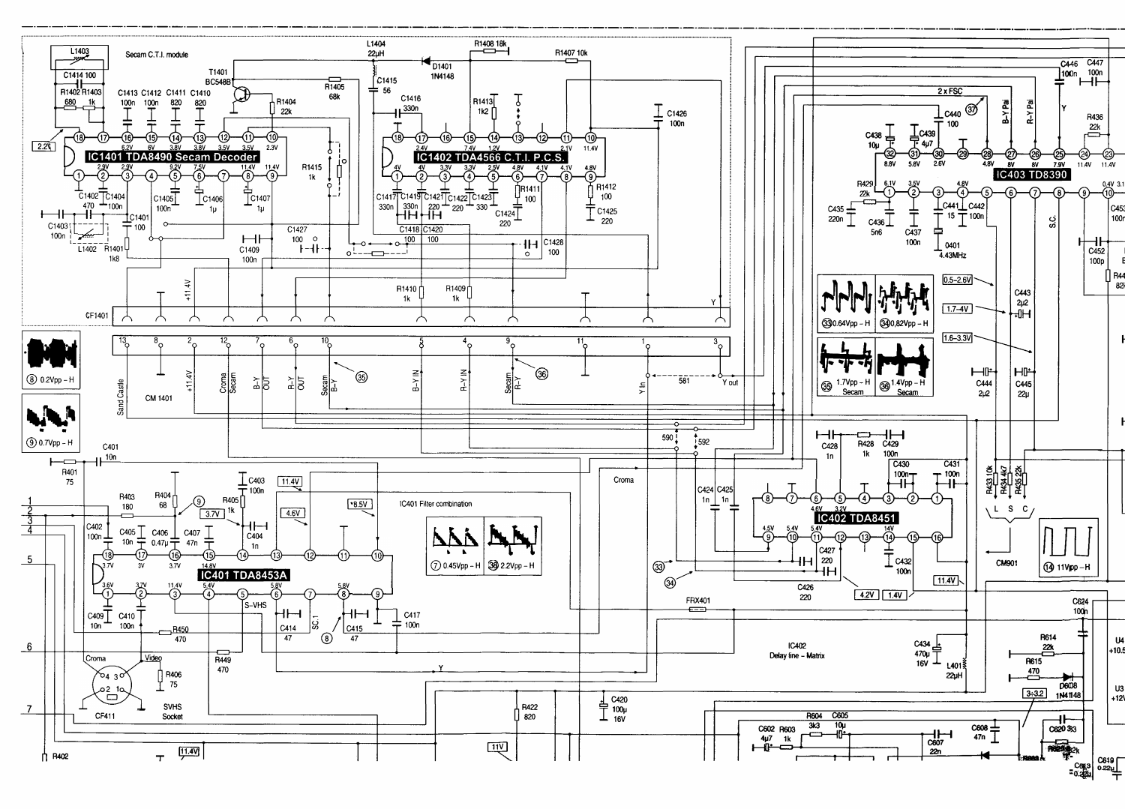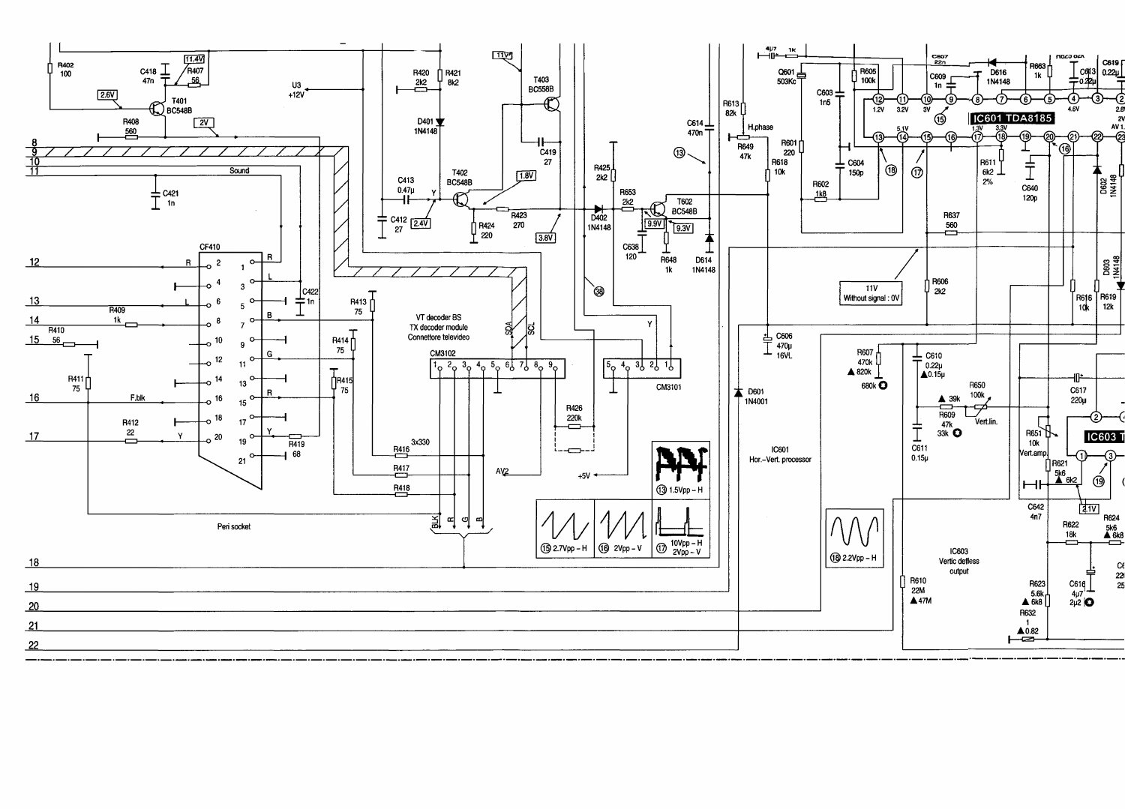



| 18 |  |  |  |
|----|--|--|--|
|    |  |  |  |
| 19 |  |  |  |
| 20 |  |  |  |
| 21 |  |  |  |
| 22 |  |  |  |
|    |  |  |  |